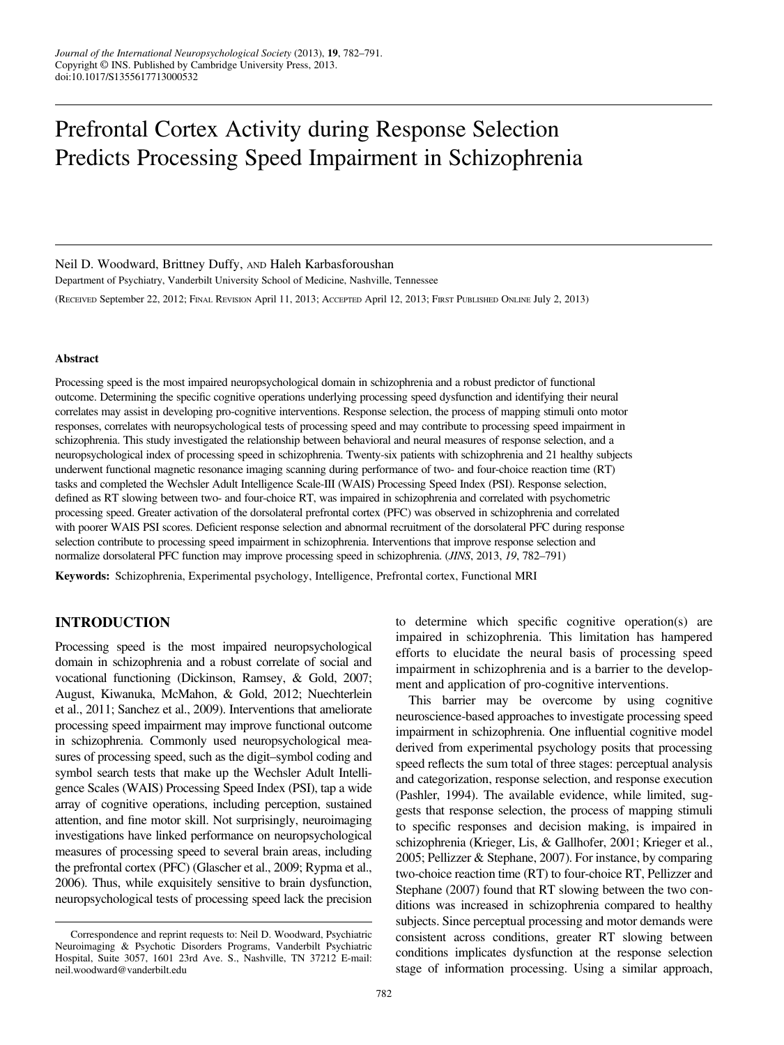# Prefrontal Cortex Activity during Response Selection Predicts Processing Speed Impairment in Schizophrenia

#### Neil D. Woodward, Brittney Duffy, AND Haleh Karbasforoushan

Department of Psychiatry, Vanderbilt University School of Medicine, Nashville, Tennessee (RECEIVED September 22, 2012; FINAL REVISION April 11, 2013; ACCEPTED April 12, 2013; FIRST PUBLISHED ONLINE July 2, 2013)

#### Abstract

Processing speed is the most impaired neuropsychological domain in schizophrenia and a robust predictor of functional outcome. Determining the specific cognitive operations underlying processing speed dysfunction and identifying their neural correlates may assist in developing pro-cognitive interventions. Response selection, the process of mapping stimuli onto motor responses, correlates with neuropsychological tests of processing speed and may contribute to processing speed impairment in schizophrenia. This study investigated the relationship between behavioral and neural measures of response selection, and a neuropsychological index of processing speed in schizophrenia. Twenty-six patients with schizophrenia and 21 healthy subjects underwent functional magnetic resonance imaging scanning during performance of two- and four-choice reaction time (RT) tasks and completed the Wechsler Adult Intelligence Scale-III (WAIS) Processing Speed Index (PSI). Response selection, defined as RT slowing between two- and four-choice RT, was impaired in schizophrenia and correlated with psychometric processing speed. Greater activation of the dorsolateral prefrontal cortex (PFC) was observed in schizophrenia and correlated with poorer WAIS PSI scores. Deficient response selection and abnormal recruitment of the dorsolateral PFC during response selection contribute to processing speed impairment in schizophrenia. Interventions that improve response selection and normalize dorsolateral PFC function may improve processing speed in schizophrenia. (JINS, 2013, 19, 782–791)

Keywords: Schizophrenia, Experimental psychology, Intelligence, Prefrontal cortex, Functional MRI

## INTRODUCTION

Processing speed is the most impaired neuropsychological domain in schizophrenia and a robust correlate of social and vocational functioning (Dickinson, Ramsey, & Gold, [2007](#page-8-0); August, Kiwanuka, McMahon, & Gold, [2012](#page-8-0); Nuechterlein et al., [2011](#page-8-0); Sanchez et al., [2009\)](#page-8-0). Interventions that ameliorate processing speed impairment may improve functional outcome in schizophrenia. Commonly used neuropsychological measures of processing speed, such as the digit–symbol coding and symbol search tests that make up the Wechsler Adult Intelligence Scales (WAIS) Processing Speed Index (PSI), tap a wide array of cognitive operations, including perception, sustained attention, and fine motor skill. Not surprisingly, neuroimaging investigations have linked performance on neuropsychological measures of processing speed to several brain areas, including the prefrontal cortex (PFC) (Glascher et al., [2009;](#page-8-0) Rypma et al., [2006\)](#page-8-0). Thus, while exquisitely sensitive to brain dysfunction, neuropsychological tests of processing speed lack the precision

to determine which specific cognitive operation(s) are impaired in schizophrenia. This limitation has hampered efforts to elucidate the neural basis of processing speed impairment in schizophrenia and is a barrier to the development and application of pro-cognitive interventions.

This barrier may be overcome by using cognitive neuroscience-based approaches to investigate processing speed impairment in schizophrenia. One influential cognitive model derived from experimental psychology posits that processing speed reflects the sum total of three stages: perceptual analysis and categorization, response selection, and response execution (Pashler, [1994\)](#page-8-0). The available evidence, while limited, suggests that response selection, the process of mapping stimuli to specific responses and decision making, is impaired in schizophrenia (Krieger, Lis, & Gallhofer, [2001;](#page-8-0) Krieger et al., [2005](#page-8-0); Pellizzer & Stephane, [2007](#page-8-0)). For instance, by comparing two-choice reaction time (RT) to four-choice RT, Pellizzer and Stephane ([2007](#page-8-0)) found that RT slowing between the two conditions was increased in schizophrenia compared to healthy subjects. Since perceptual processing and motor demands were consistent across conditions, greater RT slowing between conditions implicates dysfunction at the response selection stage of information processing. Using a similar approach,

Correspondence and reprint requests to: Neil D. Woodward, Psychiatric Neuroimaging & Psychotic Disorders Programs, Vanderbilt Psychiatric Hospital, Suite 3057, 1601 23rd Ave. S., Nashville, TN 37212 E-mail: neil.woodward@vanderbilt.edu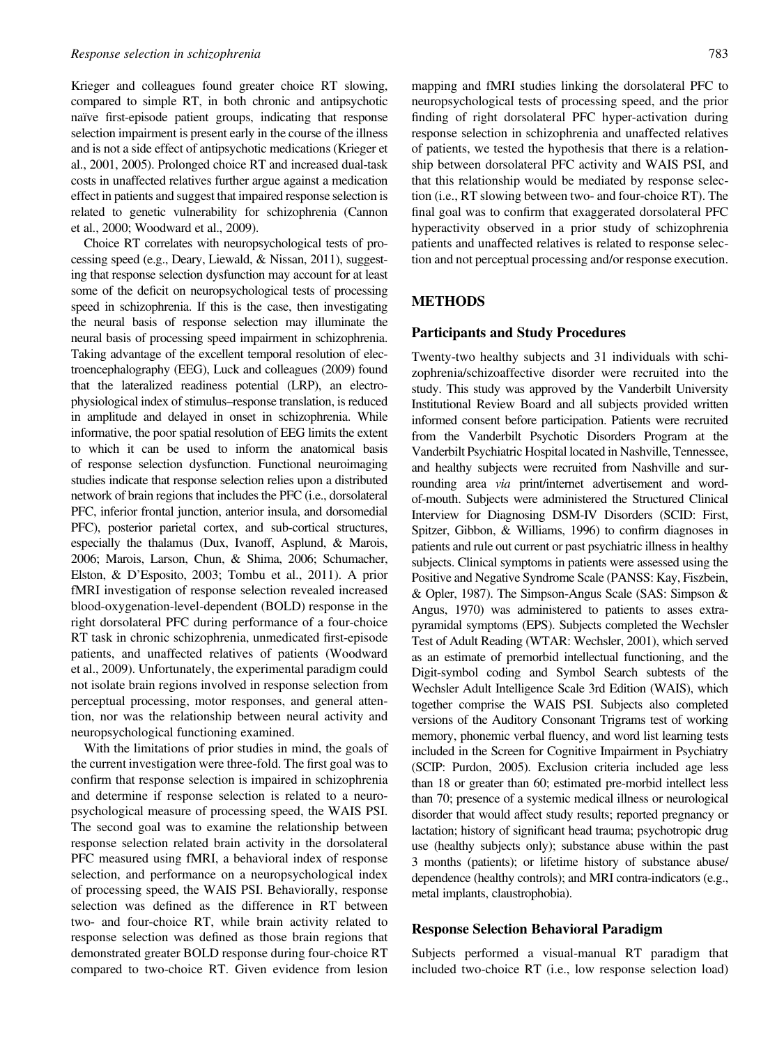Krieger and colleagues found greater choice RT slowing, compared to simple RT, in both chronic and antipsychotic naïve first-episode patient groups, indicating that response selection impairment is present early in the course of the illness and is not a side effect of antipsychotic medications (Krieger et al., [2001](#page-8-0), [2005\)](#page-8-0). Prolonged choice RT and increased dual-task costs in unaffected relatives further argue against a medication effect in patients and suggest that impaired response selection is related to genetic vulnerability for schizophrenia (Cannon et al., [2000;](#page-8-0) Woodward et al., [2009\)](#page-9-0).

Choice RT correlates with neuropsychological tests of processing speed (e.g., Deary, Liewald, & Nissan, [2011](#page-8-0)), suggesting that response selection dysfunction may account for at least some of the deficit on neuropsychological tests of processing speed in schizophrenia. If this is the case, then investigating the neural basis of response selection may illuminate the neural basis of processing speed impairment in schizophrenia. Taking advantage of the excellent temporal resolution of electroencephalography (EEG), Luck and colleagues [\(2009\)](#page-8-0) found that the lateralized readiness potential (LRP), an electrophysiological index of stimulus–response translation, is reduced in amplitude and delayed in onset in schizophrenia. While informative, the poor spatial resolution of EEG limits the extent to which it can be used to inform the anatomical basis of response selection dysfunction. Functional neuroimaging studies indicate that response selection relies upon a distributed network of brain regions that includes the PFC (i.e., dorsolateral PFC, inferior frontal junction, anterior insula, and dorsomedial PFC), posterior parietal cortex, and sub-cortical structures, especially the thalamus (Dux, Ivanoff, Asplund, & Marois, [2006;](#page-8-0) Marois, Larson, Chun, & Shima, [2006](#page-8-0); Schumacher, Elston, & D'Esposito, [2003;](#page-8-0) Tombu et al., [2011](#page-9-0)). A prior fMRI investigation of response selection revealed increased blood-oxygenation-level-dependent (BOLD) response in the right dorsolateral PFC during performance of a four-choice RT task in chronic schizophrenia, unmedicated first-episode patients, and unaffected relatives of patients (Woodward et al., [2009\)](#page-9-0). Unfortunately, the experimental paradigm could not isolate brain regions involved in response selection from perceptual processing, motor responses, and general attention, nor was the relationship between neural activity and neuropsychological functioning examined.

With the limitations of prior studies in mind, the goals of the current investigation were three-fold. The first goal was to confirm that response selection is impaired in schizophrenia and determine if response selection is related to a neuropsychological measure of processing speed, the WAIS PSI. The second goal was to examine the relationship between response selection related brain activity in the dorsolateral PFC measured using fMRI, a behavioral index of response selection, and performance on a neuropsychological index of processing speed, the WAIS PSI. Behaviorally, response selection was defined as the difference in RT between two- and four-choice RT, while brain activity related to response selection was defined as those brain regions that demonstrated greater BOLD response during four-choice RT compared to two-choice RT. Given evidence from lesion

mapping and fMRI studies linking the dorsolateral PFC to neuropsychological tests of processing speed, and the prior finding of right dorsolateral PFC hyper-activation during response selection in schizophrenia and unaffected relatives of patients, we tested the hypothesis that there is a relationship between dorsolateral PFC activity and WAIS PSI, and that this relationship would be mediated by response selection (i.e., RT slowing between two- and four-choice RT). The final goal was to confirm that exaggerated dorsolateral PFC hyperactivity observed in a prior study of schizophrenia patients and unaffected relatives is related to response selection and not perceptual processing and/or response execution.

## METHODS

## Participants and Study Procedures

Twenty-two healthy subjects and 31 individuals with schizophrenia/schizoaffective disorder were recruited into the study. This study was approved by the Vanderbilt University Institutional Review Board and all subjects provided written informed consent before participation. Patients were recruited from the Vanderbilt Psychotic Disorders Program at the Vanderbilt Psychiatric Hospital located in Nashville, Tennessee, and healthy subjects were recruited from Nashville and surrounding area via print/internet advertisement and wordof-mouth. Subjects were administered the Structured Clinical Interview for Diagnosing DSM-IV Disorders (SCID: First, Spitzer, Gibbon, & Williams, [1996](#page-8-0)) to confirm diagnoses in patients and rule out current or past psychiatric illness in healthy subjects. Clinical symptoms in patients were assessed using the Positive and Negative Syndrome Scale (PANSS: Kay, Fiszbein, & Opler, [1987](#page-8-0)). The Simpson-Angus Scale (SAS: Simpson & Angus, [1970\)](#page-8-0) was administered to patients to asses extrapyramidal symptoms (EPS). Subjects completed the Wechsler Test of Adult Reading (WTAR: Wechsler, [2001\)](#page-9-0), which served as an estimate of premorbid intellectual functioning, and the Digit-symbol coding and Symbol Search subtests of the Wechsler Adult Intelligence Scale 3rd Edition (WAIS), which together comprise the WAIS PSI. Subjects also completed versions of the Auditory Consonant Trigrams test of working memory, phonemic verbal fluency, and word list learning tests included in the Screen for Cognitive Impairment in Psychiatry (SCIP: Purdon, [2005\)](#page-8-0). Exclusion criteria included age less than 18 or greater than 60; estimated pre-morbid intellect less than 70; presence of a systemic medical illness or neurological disorder that would affect study results; reported pregnancy or lactation; history of significant head trauma; psychotropic drug use (healthy subjects only); substance abuse within the past 3 months (patients); or lifetime history of substance abuse/ dependence (healthy controls); and MRI contra-indicators (e.g., metal implants, claustrophobia).

## Response Selection Behavioral Paradigm

Subjects performed a visual-manual RT paradigm that included two-choice RT (i.e., low response selection load)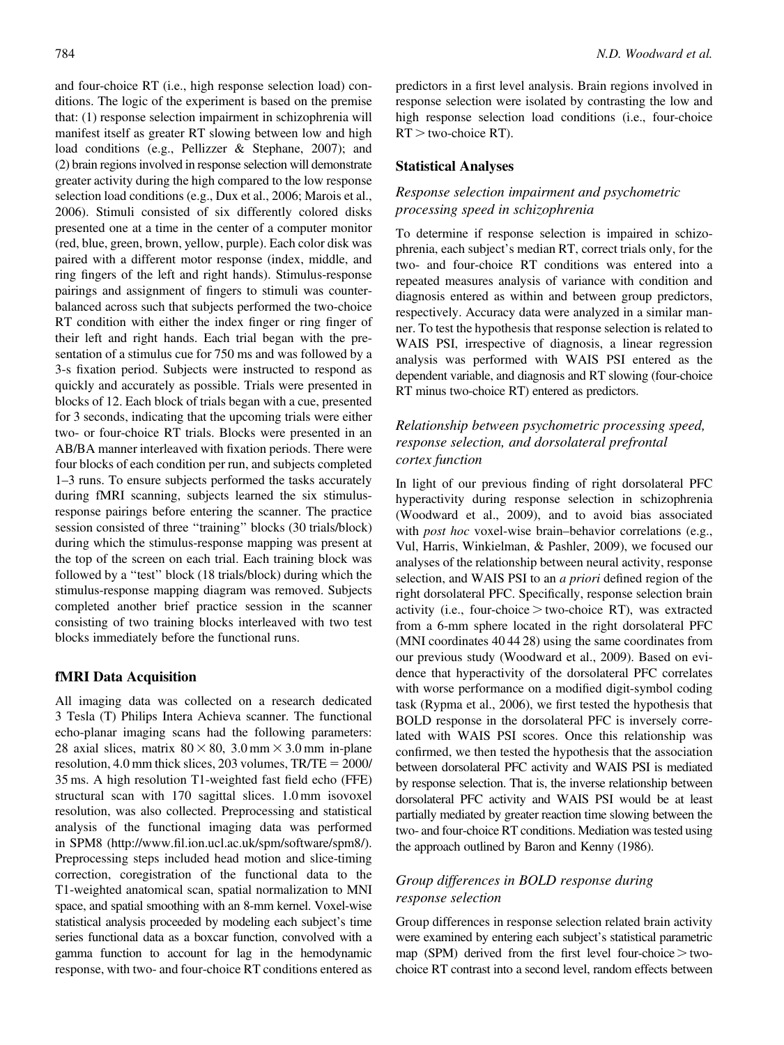and four-choice RT (i.e., high response selection load) conditions. The logic of the experiment is based on the premise that: (1) response selection impairment in schizophrenia will manifest itself as greater RT slowing between low and high load conditions (e.g., Pellizzer & Stephane, [2007\)](#page-8-0); and (2) brain regions involved in response selection will demonstrate greater activity during the high compared to the low response selection load conditions (e.g., Dux et al., [2006;](#page-8-0) Marois et al., [2006\)](#page-8-0). Stimuli consisted of six differently colored disks presented one at a time in the center of a computer monitor (red, blue, green, brown, yellow, purple). Each color disk was paired with a different motor response (index, middle, and ring fingers of the left and right hands). Stimulus-response pairings and assignment of fingers to stimuli was counterbalanced across such that subjects performed the two-choice RT condition with either the index finger or ring finger of their left and right hands. Each trial began with the presentation of a stimulus cue for 750 ms and was followed by a 3-s fixation period. Subjects were instructed to respond as quickly and accurately as possible. Trials were presented in blocks of 12. Each block of trials began with a cue, presented for 3 seconds, indicating that the upcoming trials were either two- or four-choice RT trials. Blocks were presented in an AB/BA manner interleaved with fixation periods. There were four blocks of each condition per run, and subjects completed 1–3 runs. To ensure subjects performed the tasks accurately during fMRI scanning, subjects learned the six stimulusresponse pairings before entering the scanner. The practice session consisted of three ''training'' blocks (30 trials/block) during which the stimulus-response mapping was present at the top of the screen on each trial. Each training block was followed by a ''test'' block (18 trials/block) during which the stimulus-response mapping diagram was removed. Subjects completed another brief practice session in the scanner consisting of two training blocks interleaved with two test blocks immediately before the functional runs.

## fMRI Data Acquisition

All imaging data was collected on a research dedicated 3 Tesla (T) Philips Intera Achieva scanner. The functional echo-planar imaging scans had the following parameters: 28 axial slices, matrix  $80 \times 80$ , 3.0 mm  $\times$  3.0 mm in-plane resolution, 4.0 mm thick slices, 203 volumes,  $TR/TE = 2000/$ 35 ms. A high resolution T1-weighted fast field echo (FFE) structural scan with 170 sagittal slices. 1.0 mm isovoxel resolution, was also collected. Preprocessing and statistical analysis of the functional imaging data was performed in SPM8 (http://www.fil.ion.ucl.ac.uk/spm/software/spm8/). Preprocessing steps included head motion and slice-timing correction, coregistration of the functional data to the T1-weighted anatomical scan, spatial normalization to MNI space, and spatial smoothing with an 8-mm kernel. Voxel-wise statistical analysis proceeded by modeling each subject's time series functional data as a boxcar function, convolved with a gamma function to account for lag in the hemodynamic response, with two- and four-choice RT conditions entered as

predictors in a first level analysis. Brain regions involved in response selection were isolated by contrasting the low and high response selection load conditions (i.e., four-choice  $RT$  > two-choice RT).

## Statistical Analyses

# Response selection impairment and psychometric processing speed in schizophrenia

To determine if response selection is impaired in schizophrenia, each subject's median RT, correct trials only, for the two- and four-choice RT conditions was entered into a repeated measures analysis of variance with condition and diagnosis entered as within and between group predictors, respectively. Accuracy data were analyzed in a similar manner. To test the hypothesis that response selection is related to WAIS PSI, irrespective of diagnosis, a linear regression analysis was performed with WAIS PSI entered as the dependent variable, and diagnosis and RT slowing (four-choice RT minus two-choice RT) entered as predictors.

# Relationship between psychometric processing speed, response selection, and dorsolateral prefrontal cortex function

In light of our previous finding of right dorsolateral PFC hyperactivity during response selection in schizophrenia (Woodward et al., [2009](#page-9-0)), and to avoid bias associated with *post hoc* voxel-wise brain–behavior correlations (e.g., Vul, Harris, Winkielman, & Pashler, [2009\)](#page-9-0), we focused our analyses of the relationship between neural activity, response selection, and WAIS PSI to an a priori defined region of the right dorsolateral PFC. Specifically, response selection brain activity (i.e., four-choice  $>$  two-choice RT), was extracted from a 6-mm sphere located in the right dorsolateral PFC (MNI coordinates 40 44 28) using the same coordinates from our previous study (Woodward et al., [2009\)](#page-9-0). Based on evidence that hyperactivity of the dorsolateral PFC correlates with worse performance on a modified digit-symbol coding task (Rypma et al., [2006](#page-8-0)), we first tested the hypothesis that BOLD response in the dorsolateral PFC is inversely correlated with WAIS PSI scores. Once this relationship was confirmed, we then tested the hypothesis that the association between dorsolateral PFC activity and WAIS PSI is mediated by response selection. That is, the inverse relationship between dorsolateral PFC activity and WAIS PSI would be at least partially mediated by greater reaction time slowing between the two- and four-choice RT conditions. Mediation was tested using the approach outlined by Baron and Kenny ([1986](#page-8-0)).

## Group differences in BOLD response during response selection

Group differences in response selection related brain activity were examined by entering each subject's statistical parametric map (SPM) derived from the first level four-choice  $>$  twochoice RT contrast into a second level, random effects between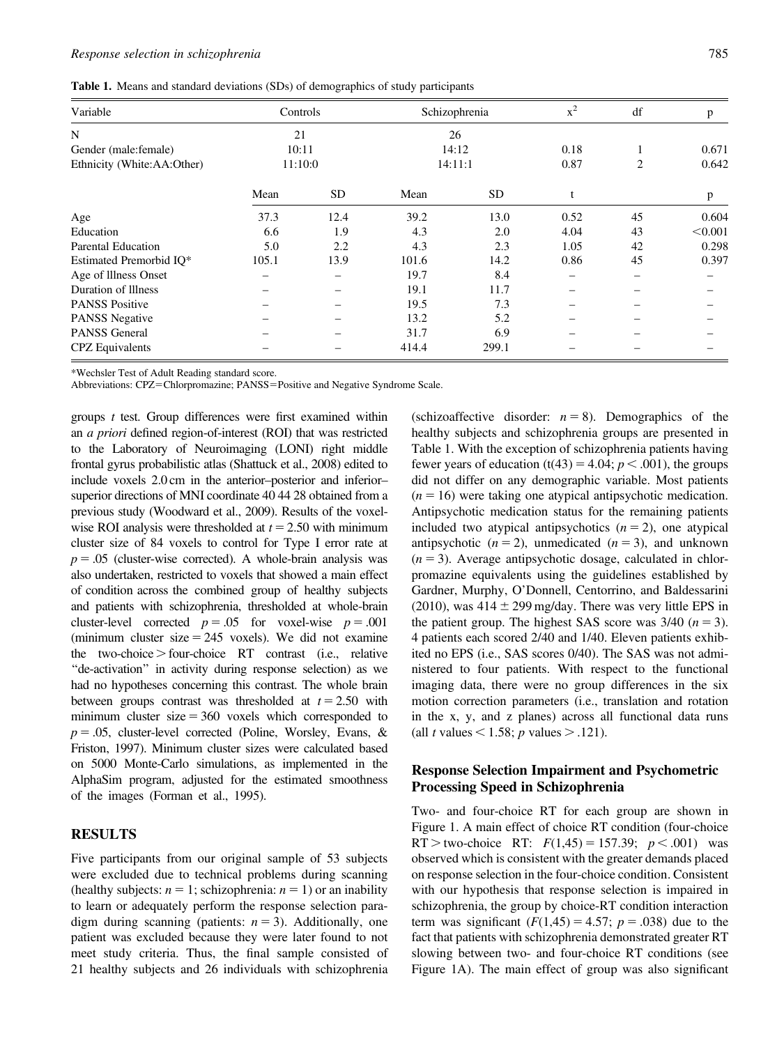Table 1. Means and standard deviations (SDs) of demographics of study participants

| Variable                   | Controls |           | Schizophrenia |       | $x^2$ | df             | p       |
|----------------------------|----------|-----------|---------------|-------|-------|----------------|---------|
| N                          | 21       |           | 26            |       |       |                |         |
| Gender (male: female)      | 10:11    |           | 14:12         |       | 0.18  |                | 0.671   |
| Ethnicity (White:AA:Other) | 11:10:0  |           | 14:11:1       |       | 0.87  | $\overline{c}$ | 0.642   |
|                            | Mean     | <b>SD</b> | Mean          | SD    |       |                | p       |
| Age                        | 37.3     | 12.4      | 39.2          | 13.0  | 0.52  | 45             | 0.604   |
| Education                  | 6.6      | 1.9       | 4.3           | 2.0   | 4.04  | 43             | < 0.001 |
| <b>Parental Education</b>  | 5.0      | 2.2       | 4.3           | 2.3   | 1.05  | 42             | 0.298   |
| Estimated Premorbid IQ*    | 105.1    | 13.9      | 101.6         | 14.2  | 0.86  | 45             | 0.397   |
| Age of Illness Onset       |          |           | 19.7          | 8.4   |       |                |         |
| Duration of Illness        |          |           | 19.1          | 11.7  |       |                |         |
| <b>PANSS Positive</b>      |          |           | 19.5          | 7.3   |       |                |         |
| <b>PANSS Negative</b>      |          |           | 13.2          | 5.2   |       |                |         |
| <b>PANSS General</b>       |          |           | 31.7          | 6.9   |       |                |         |
| <b>CPZ</b> Equivalents     |          |           | 414.4         | 299.1 |       |                |         |

\*Wechsler Test of Adult Reading standard score.

Abbreviations: CPZ=Chlorpromazine; PANSS=Positive and Negative Syndrome Scale.

groups t test. Group differences were first examined within an a priori defined region-of-interest (ROI) that was restricted to the Laboratory of Neuroimaging (LONI) right middle frontal gyrus probabilistic atlas (Shattuck et al., [2008](#page-8-0)) edited to include voxels 2.0 cm in the anterior–posterior and inferior– superior directions of MNI coordinate 40 44 28 obtained from a previous study (Woodward et al., [2009\)](#page-9-0). Results of the voxelwise ROI analysis were thresholded at  $t = 2.50$  with minimum cluster size of 84 voxels to control for Type I error rate at  $p = 0.05$  (cluster-wise corrected). A whole-brain analysis was also undertaken, restricted to voxels that showed a main effect of condition across the combined group of healthy subjects and patients with schizophrenia, thresholded at whole-brain cluster-level corrected  $p = .05$  for voxel-wise  $p = .001$ (minimum cluster size  $= 245$  voxels). We did not examine the two-choice > four-choice  $RT$  contrast (i.e., relative "de-activation" in activity during response selection) as we had no hypotheses concerning this contrast. The whole brain between groups contrast was thresholded at  $t = 2.50$  with minimum cluster  $size = 360$  voxels which corresponded to  $p = .05$ , cluster-level corrected (Poline, Worsley, Evans, & Friston, [1997\)](#page-8-0). Minimum cluster sizes were calculated based on 5000 Monte-Carlo simulations, as implemented in the AlphaSim program, adjusted for the estimated smoothness of the images (Forman et al., [1995](#page-8-0)).

## RESULTS

Five participants from our original sample of 53 subjects were excluded due to technical problems during scanning (healthy subjects:  $n = 1$ ; schizophrenia:  $n = 1$ ) or an inability to learn or adequately perform the response selection paradigm during scanning (patients:  $n = 3$ ). Additionally, one patient was excluded because they were later found to not meet study criteria. Thus, the final sample consisted of 21 healthy subjects and 26 individuals with schizophrenia

(schizoaffective disorder:  $n = 8$ ). Demographics of the healthy subjects and schizophrenia groups are presented in Table 1. With the exception of schizophrenia patients having fewer years of education (t(43) = 4.04;  $p < .001$ ), the groups did not differ on any demographic variable. Most patients  $(n = 16)$  were taking one atypical antipsychotic medication. Antipsychotic medication status for the remaining patients included two atypical antipsychotics  $(n = 2)$ , one atypical antipsychotic  $(n = 2)$ , unmedicated  $(n = 3)$ , and unknown  $(n = 3)$ . Average antipsychotic dosage, calculated in chlorpromazine equivalents using the guidelines established by Gardner, Murphy, O'Donnell, Centorrino, and Baldessarini [\(2010\)](#page-8-0), was  $414 \pm 299$  mg/day. There was very little EPS in the patient group. The highest SAS score was  $3/40$  ( $n = 3$ ). 4 patients each scored 2/40 and 1/40. Eleven patients exhibited no EPS (i.e., SAS scores 0/40). The SAS was not administered to four patients. With respect to the functional imaging data, there were no group differences in the six motion correction parameters (i.e., translation and rotation in the x, y, and z planes) across all functional data runs (all t values  $<$  1.58; p values  $>$  .121).

## Response Selection Impairment and Psychometric Processing Speed in Schizophrenia

Two- and four-choice RT for each group are shown in Figure 1. A main effect of choice RT condition (four-choice RT > two-choice RT:  $F(1,45) = 157.39; p < .001$  was observed which is consistent with the greater demands placed on response selection in the four-choice condition. Consistent with our hypothesis that response selection is impaired in schizophrenia, the group by choice-RT condition interaction term was significant  $(F(1,45) = 4.57; p = .038)$  due to the fact that patients with schizophrenia demonstrated greater RT slowing between two- and four-choice RT conditions (see Figure 1A). The main effect of group was also significant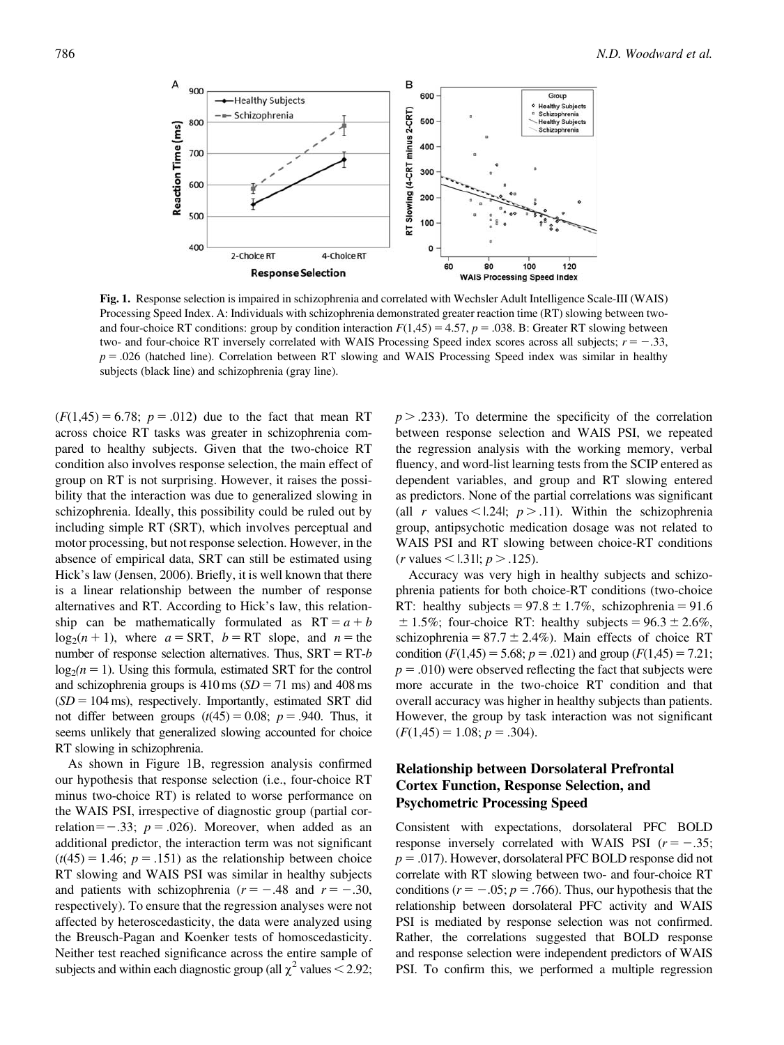

Fig. 1. Response selection is impaired in schizophrenia and correlated with Wechsler Adult Intelligence Scale-III (WAIS) Processing Speed Index. A: Individuals with schizophrenia demonstrated greater reaction time (RT) slowing between twoand four-choice RT conditions: group by condition interaction  $F(1,45) = 4.57$ ,  $p = .038$ . B: Greater RT slowing between two- and four-choice RT inversely correlated with WAIS Processing Speed index scores across all subjects;  $r = -.33$ ,  $p = 0.026$  (hatched line). Correlation between RT slowing and WAIS Processing Speed index was similar in healthy subjects (black line) and schizophrenia (gray line).

 $(F(1,45) = 6.78; p = .012)$  due to the fact that mean RT across choice RT tasks was greater in schizophrenia compared to healthy subjects. Given that the two-choice RT condition also involves response selection, the main effect of group on RT is not surprising. However, it raises the possibility that the interaction was due to generalized slowing in schizophrenia. Ideally, this possibility could be ruled out by including simple RT (SRT), which involves perceptual and motor processing, but not response selection. However, in the absence of empirical data, SRT can still be estimated using Hick's law (Jensen, [2006\)](#page-8-0). Briefly, it is well known that there is a linear relationship between the number of response alternatives and RT. According to Hick's law, this relationship can be mathematically formulated as  $RT = a + b$  $log_2(n + 1)$ , where  $a = SRT$ ,  $b = RT$  slope, and  $n =$  the number of response selection alternatives. Thus,  $SRT = RT-b$  $log_2(n = 1)$ . Using this formula, estimated SRT for the control and schizophrenia groups is  $410 \text{ ms}$  ( $SD = 71 \text{ ms}$ ) and  $408 \text{ ms}$  $(SD = 104 \text{ ms})$ , respectively. Importantly, estimated SRT did not differ between groups  $(t(45) = 0.08; p = .940$ . Thus, it seems unlikely that generalized slowing accounted for choice RT slowing in schizophrenia.

As shown in Figure 1B, regression analysis confirmed our hypothesis that response selection (i.e., four-choice RT minus two-choice RT) is related to worse performance on the WAIS PSI, irrespective of diagnostic group (partial correlation= $-.33$ ;  $p = .026$ ). Moreover, when added as an additional predictor, the interaction term was not significant  $(t(45) = 1.46; p = .151)$  as the relationship between choice RT slowing and WAIS PSI was similar in healthy subjects and patients with schizophrenia ( $r = -.48$  and  $r = -.30$ , respectively). To ensure that the regression analyses were not affected by heteroscedasticity, the data were analyzed using the Breusch-Pagan and Koenker tests of homoscedasticity. Neither test reached significance across the entire sample of subjects and within each diagnostic group (all  $\chi^2$  values < 2.92;

 $p > .233$ ). To determine the specificity of the correlation between response selection and WAIS PSI, we repeated the regression analysis with the working memory, verbal fluency, and word-list learning tests from the SCIP entered as dependent variables, and group and RT slowing entered as predictors. None of the partial correlations was significant (all r values < 1.24|;  $p > .11$ ). Within the schizophrenia group, antipsychotic medication dosage was not related to WAIS PSI and RT slowing between choice-RT conditions  $(r \text{ values} <$  1.31|;  $p > .125$ ).

Accuracy was very high in healthy subjects and schizophrenia patients for both choice-RT conditions (two-choice RT: healthy subjects =  $97.8 \pm 1.7\%$ , schizophrenia =  $91.6$  $\pm$  1.5%; four-choice RT: healthy subjects = 96.3  $\pm$  2.6%, schizophrenia =  $87.7 \pm 2.4\%$ ). Main effects of choice RT condition  $(F(1,45) = 5.68; p = .021)$  and group  $(F(1,45) = 7.21;$  $p = .010$ ) were observed reflecting the fact that subjects were more accurate in the two-choice RT condition and that overall accuracy was higher in healthy subjects than patients. However, the group by task interaction was not significant  $(F(1,45) = 1.08; p = .304).$ 

# Relationship between Dorsolateral Prefrontal Cortex Function, Response Selection, and Psychometric Processing Speed

Consistent with expectations, dorsolateral PFC BOLD response inversely correlated with WAIS PSI  $(r = -.35;$  $p = .017$ ). However, dorsolateral PFC BOLD response did not correlate with RT slowing between two- and four-choice RT conditions ( $r = -.05$ ;  $p = .766$ ). Thus, our hypothesis that the relationship between dorsolateral PFC activity and WAIS PSI is mediated by response selection was not confirmed. Rather, the correlations suggested that BOLD response and response selection were independent predictors of WAIS PSI. To confirm this, we performed a multiple regression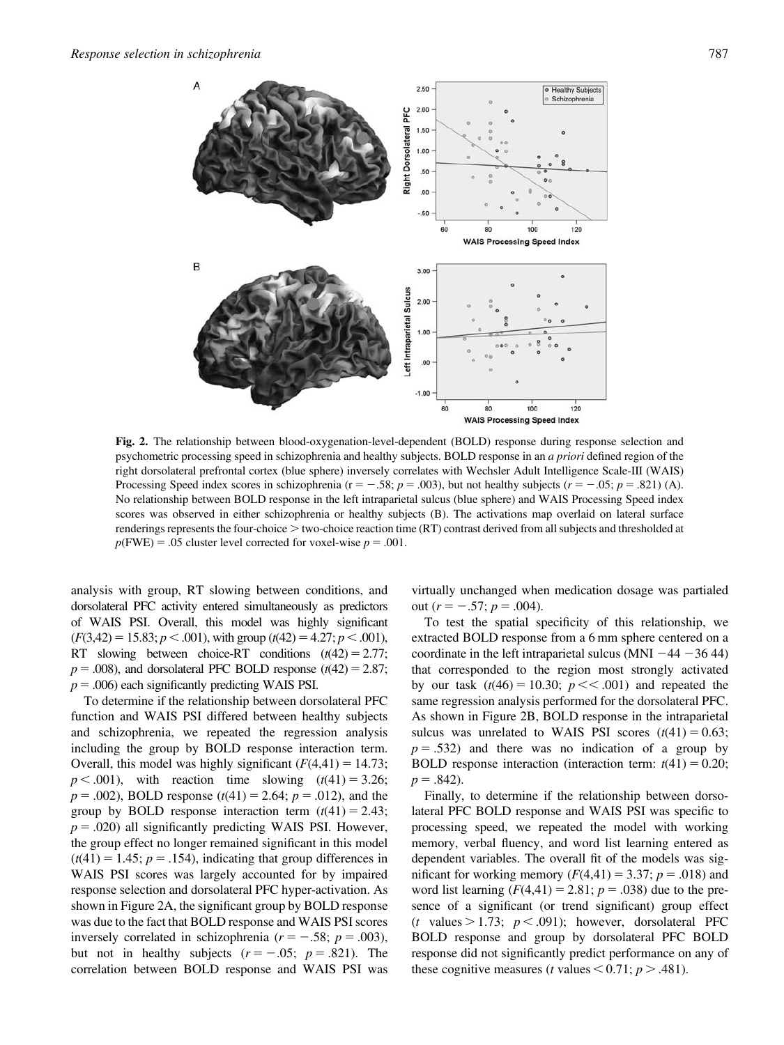

Fig. 2. The relationship between blood-oxygenation-level-dependent (BOLD) response during response selection and psychometric processing speed in schizophrenia and healthy subjects. BOLD response in an a priori defined region of the right dorsolateral prefrontal cortex (blue sphere) inversely correlates with Wechsler Adult Intelligence Scale-III (WAIS) Processing Speed index scores in schizophrenia ( $r = -.58$ ;  $p = .003$ ), but not healthy subjects ( $r = -.05$ ;  $p = .821$ ) (A). No relationship between BOLD response in the left intraparietal sulcus (blue sphere) and WAIS Processing Speed index scores was observed in either schizophrenia or healthy subjects (B). The activations map overlaid on lateral surface renderings represents the four-choice  $>$  two-choice reaction time (RT) contrast derived from all subjects and thresholded at  $p(FWE) = .05$  cluster level corrected for voxel-wise  $p = .001$ .

analysis with group, RT slowing between conditions, and dorsolateral PFC activity entered simultaneously as predictors of WAIS PSI. Overall, this model was highly significant  $(F(3,42) = 15.83; p < .001)$ , with group  $(t(42) = 4.27; p < .001)$ , RT slowing between choice-RT conditions  $(t(42) = 2.77;$  $p = .008$ ), and dorsolateral PFC BOLD response ( $t(42) = 2.87$ ;  $p = .006$ ) each significantly predicting WAIS PSI.

To determine if the relationship between dorsolateral PFC function and WAIS PSI differed between healthy subjects and schizophrenia, we repeated the regression analysis including the group by BOLD response interaction term. Overall, this model was highly significant  $(F(4,41) = 14.73;$  $p < .001$ ), with reaction time slowing  $(t(41) = 3.26;$  $p = .002$ ), BOLD response (t(41) = 2.64;  $p = .012$ ), and the group by BOLD response interaction term  $(t(41) = 2.43;$  $p = .020$ ) all significantly predicting WAIS PSI. However, the group effect no longer remained significant in this model  $(t(41) = 1.45; p = .154)$ , indicating that group differences in WAIS PSI scores was largely accounted for by impaired response selection and dorsolateral PFC hyper-activation. As shown in Figure 2A, the significant group by BOLD response was due to the fact that BOLD response and WAIS PSI scores inversely correlated in schizophrenia ( $r = -.58$ ;  $p = .003$ ), but not in healthy subjects  $(r = -.05; p = .821)$ . The correlation between BOLD response and WAIS PSI was

virtually unchanged when medication dosage was partialed out  $(r = -.57; p = .004)$ .

To test the spatial specificity of this relationship, we extracted BOLD response from a 6 mm sphere centered on a coordinate in the left intraparietal sulcus (MNI  $-44 - 36 44$ ) that corresponded to the region most strongly activated by our task  $(t(46) = 10.30; p \lt 0.001)$  and repeated the same regression analysis performed for the dorsolateral PFC. As shown in Figure 2B, BOLD response in the intraparietal sulcus was unrelated to WAIS PSI scores  $(t(41) = 0.63;$  $p = .532$ ) and there was no indication of a group by BOLD response interaction (interaction term:  $t(41) = 0.20$ ;  $p = .842$ ).

Finally, to determine if the relationship between dorsolateral PFC BOLD response and WAIS PSI was specific to processing speed, we repeated the model with working memory, verbal fluency, and word list learning entered as dependent variables. The overall fit of the models was significant for working memory  $(F(4,41) = 3.37; p = .018)$  and word list learning  $(F(4, 41) = 2.81; p = .038)$  due to the presence of a significant (or trend significant) group effect (t values  $> 1.73$ ;  $p < .091$ ); however, dorsolateral PFC BOLD response and group by dorsolateral PFC BOLD response did not significantly predict performance on any of these cognitive measures (*t* values  $< 0.71$ ; *p*  $> .481$ ).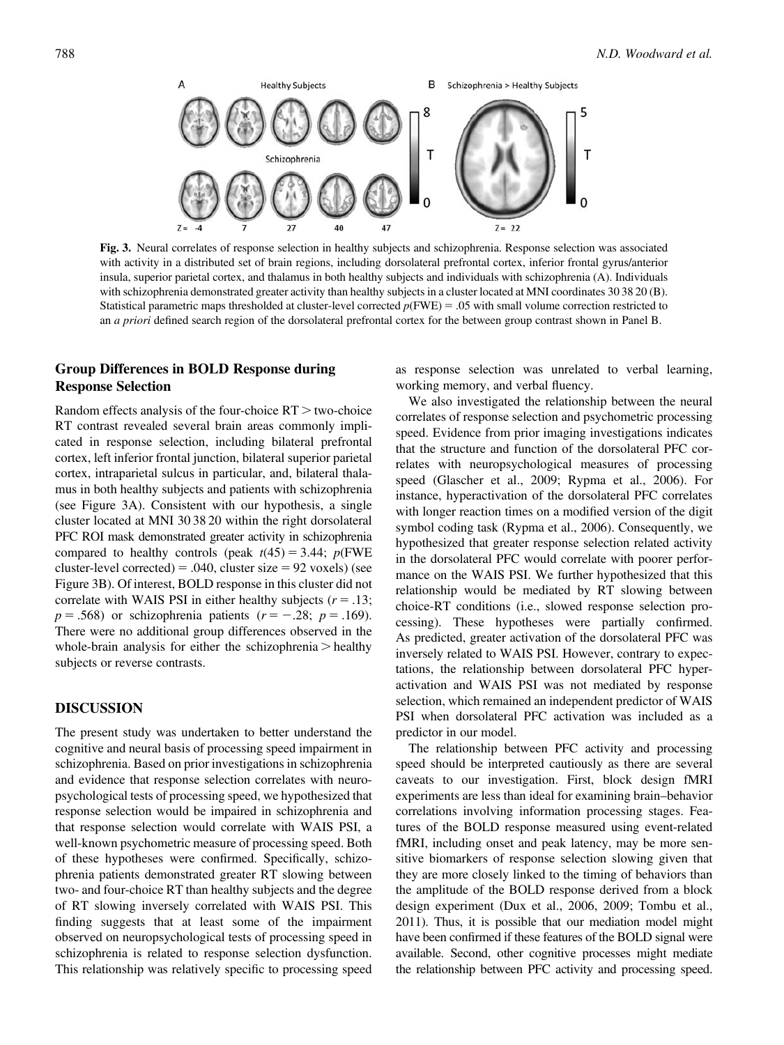

Fig. 3. Neural correlates of response selection in healthy subjects and schizophrenia. Response selection was associated with activity in a distributed set of brain regions, including dorsolateral prefrontal cortex, inferior frontal gyrus/anterior insula, superior parietal cortex, and thalamus in both healthy subjects and individuals with schizophrenia (A). Individuals with schizophrenia demonstrated greater activity than healthy subjects in a cluster located at MNI coordinates 30 38 20 (B). Statistical parametric maps thresholded at cluster-level corrected  $p(FWE) = .05$  with small volume correction restricted to an a priori defined search region of the dorsolateral prefrontal cortex for the between group contrast shown in Panel B.

# Group Differences in BOLD Response during Response Selection

Random effects analysis of the four-choice  $RT$  > two-choice RT contrast revealed several brain areas commonly implicated in response selection, including bilateral prefrontal cortex, left inferior frontal junction, bilateral superior parietal cortex, intraparietal sulcus in particular, and, bilateral thalamus in both healthy subjects and patients with schizophrenia (see Figure 3A). Consistent with our hypothesis, a single cluster located at MNI 30 38 20 within the right dorsolateral PFC ROI mask demonstrated greater activity in schizophrenia compared to healthy controls (peak  $t(45) = 3.44$ ;  $p$ (FWE cluster-level corrected) = .040, cluster size =  $92$  voxels) (see Figure 3B). Of interest, BOLD response in this cluster did not correlate with WAIS PSI in either healthy subjects  $(r = .13;$  $p = .568$ ) or schizophrenia patients  $(r = -.28; p = .169)$ . There were no additional group differences observed in the whole-brain analysis for either the schizophrenia  $>$  healthy subjects or reverse contrasts.

## DISCUSSION

The present study was undertaken to better understand the cognitive and neural basis of processing speed impairment in schizophrenia. Based on prior investigations in schizophrenia and evidence that response selection correlates with neuropsychological tests of processing speed, we hypothesized that response selection would be impaired in schizophrenia and that response selection would correlate with WAIS PSI, a well-known psychometric measure of processing speed. Both of these hypotheses were confirmed. Specifically, schizophrenia patients demonstrated greater RT slowing between two- and four-choice RT than healthy subjects and the degree of RT slowing inversely correlated with WAIS PSI. This finding suggests that at least some of the impairment observed on neuropsychological tests of processing speed in schizophrenia is related to response selection dysfunction. This relationship was relatively specific to processing speed as response selection was unrelated to verbal learning, working memory, and verbal fluency.

We also investigated the relationship between the neural correlates of response selection and psychometric processing speed. Evidence from prior imaging investigations indicates that the structure and function of the dorsolateral PFC correlates with neuropsychological measures of processing speed (Glascher et al., [2009](#page-8-0); Rypma et al., [2006\)](#page-8-0). For instance, hyperactivation of the dorsolateral PFC correlates with longer reaction times on a modified version of the digit symbol coding task (Rypma et al., [2006\)](#page-8-0). Consequently, we hypothesized that greater response selection related activity in the dorsolateral PFC would correlate with poorer performance on the WAIS PSI. We further hypothesized that this relationship would be mediated by RT slowing between choice-RT conditions (i.e., slowed response selection processing). These hypotheses were partially confirmed. As predicted, greater activation of the dorsolateral PFC was inversely related to WAIS PSI. However, contrary to expectations, the relationship between dorsolateral PFC hyperactivation and WAIS PSI was not mediated by response selection, which remained an independent predictor of WAIS PSI when dorsolateral PFC activation was included as a predictor in our model.

The relationship between PFC activity and processing speed should be interpreted cautiously as there are several caveats to our investigation. First, block design fMRI experiments are less than ideal for examining brain–behavior correlations involving information processing stages. Features of the BOLD response measured using event-related fMRI, including onset and peak latency, may be more sensitive biomarkers of response selection slowing given that they are more closely linked to the timing of behaviors than the amplitude of the BOLD response derived from a block design experiment (Dux et al., [2006](#page-8-0), [2009;](#page-8-0) Tombu et al., [2011](#page-9-0)). Thus, it is possible that our mediation model might have been confirmed if these features of the BOLD signal were available. Second, other cognitive processes might mediate the relationship between PFC activity and processing speed.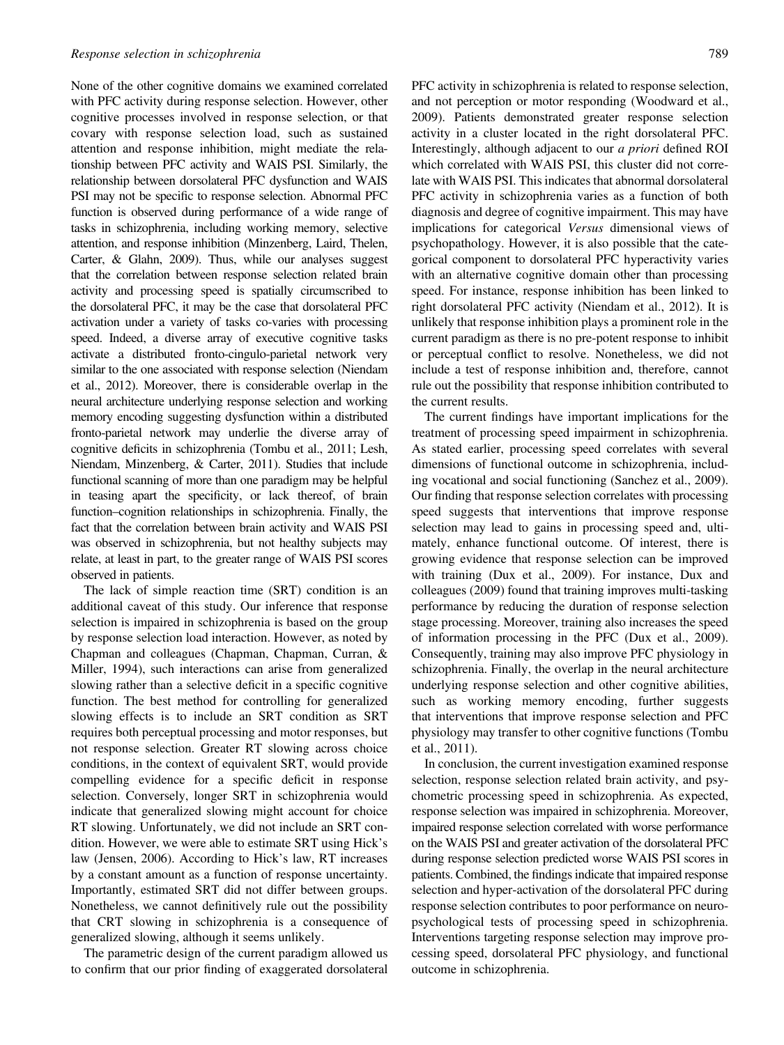None of the other cognitive domains we examined correlated with PFC activity during response selection. However, other cognitive processes involved in response selection, or that covary with response selection load, such as sustained attention and response inhibition, might mediate the relationship between PFC activity and WAIS PSI. Similarly, the relationship between dorsolateral PFC dysfunction and WAIS PSI may not be specific to response selection. Abnormal PFC function is observed during performance of a wide range of tasks in schizophrenia, including working memory, selective attention, and response inhibition (Minzenberg, Laird, Thelen, Carter, & Glahn, [2009](#page-8-0)). Thus, while our analyses suggest that the correlation between response selection related brain activity and processing speed is spatially circumscribed to the dorsolateral PFC, it may be the case that dorsolateral PFC activation under a variety of tasks co-varies with processing speed. Indeed, a diverse array of executive cognitive tasks activate a distributed fronto-cingulo-parietal network very similar to the one associated with response selection (Niendam et al., [2012](#page-8-0)). Moreover, there is considerable overlap in the neural architecture underlying response selection and working memory encoding suggesting dysfunction within a distributed fronto-parietal network may underlie the diverse array of cognitive deficits in schizophrenia (Tombu et al., [2011](#page-9-0); Lesh, Niendam, Minzenberg, & Carter, [2011](#page-8-0)). Studies that include functional scanning of more than one paradigm may be helpful in teasing apart the specificity, or lack thereof, of brain function–cognition relationships in schizophrenia. Finally, the fact that the correlation between brain activity and WAIS PSI was observed in schizophrenia, but not healthy subjects may relate, at least in part, to the greater range of WAIS PSI scores observed in patients.

The lack of simple reaction time (SRT) condition is an additional caveat of this study. Our inference that response selection is impaired in schizophrenia is based on the group by response selection load interaction. However, as noted by Chapman and colleagues (Chapman, Chapman, Curran, & Miller, [1994\)](#page-8-0), such interactions can arise from generalized slowing rather than a selective deficit in a specific cognitive function. The best method for controlling for generalized slowing effects is to include an SRT condition as SRT requires both perceptual processing and motor responses, but not response selection. Greater RT slowing across choice conditions, in the context of equivalent SRT, would provide compelling evidence for a specific deficit in response selection. Conversely, longer SRT in schizophrenia would indicate that generalized slowing might account for choice RT slowing. Unfortunately, we did not include an SRT condition. However, we were able to estimate SRT using Hick's law (Jensen, [2006\)](#page-8-0). According to Hick's law, RT increases by a constant amount as a function of response uncertainty. Importantly, estimated SRT did not differ between groups. Nonetheless, we cannot definitively rule out the possibility that CRT slowing in schizophrenia is a consequence of generalized slowing, although it seems unlikely.

The parametric design of the current paradigm allowed us to confirm that our prior finding of exaggerated dorsolateral PFC activity in schizophrenia is related to response selection, and not perception or motor responding (Woodward et al., [2009\)](#page-9-0). Patients demonstrated greater response selection activity in a cluster located in the right dorsolateral PFC. Interestingly, although adjacent to our a priori defined ROI which correlated with WAIS PSI, this cluster did not correlate with WAIS PSI. This indicates that abnormal dorsolateral PFC activity in schizophrenia varies as a function of both diagnosis and degree of cognitive impairment. This may have implications for categorical Versus dimensional views of psychopathology. However, it is also possible that the categorical component to dorsolateral PFC hyperactivity varies with an alternative cognitive domain other than processing speed. For instance, response inhibition has been linked to right dorsolateral PFC activity (Niendam et al., [2012\)](#page-8-0). It is unlikely that response inhibition plays a prominent role in the current paradigm as there is no pre-potent response to inhibit or perceptual conflict to resolve. Nonetheless, we did not include a test of response inhibition and, therefore, cannot rule out the possibility that response inhibition contributed to the current results.

The current findings have important implications for the treatment of processing speed impairment in schizophrenia. As stated earlier, processing speed correlates with several dimensions of functional outcome in schizophrenia, including vocational and social functioning (Sanchez et al., [2009](#page-8-0)). Our finding that response selection correlates with processing speed suggests that interventions that improve response selection may lead to gains in processing speed and, ultimately, enhance functional outcome. Of interest, there is growing evidence that response selection can be improved with training (Dux et al., [2009](#page-8-0)). For instance, Dux and colleagues (2009) found that training improves multi-tasking performance by reducing the duration of response selection stage processing. Moreover, training also increases the speed of information processing in the PFC (Dux et al., [2009](#page-8-0)). Consequently, training may also improve PFC physiology in schizophrenia. Finally, the overlap in the neural architecture underlying response selection and other cognitive abilities, such as working memory encoding, further suggests that interventions that improve response selection and PFC physiology may transfer to other cognitive functions (Tombu et al., [2011](#page-9-0)).

In conclusion, the current investigation examined response selection, response selection related brain activity, and psychometric processing speed in schizophrenia. As expected, response selection was impaired in schizophrenia. Moreover, impaired response selection correlated with worse performance on the WAIS PSI and greater activation of the dorsolateral PFC during response selection predicted worse WAIS PSI scores in patients. Combined, the findingsindicate that impaired response selection and hyper-activation of the dorsolateral PFC during response selection contributes to poor performance on neuropsychological tests of processing speed in schizophrenia. Interventions targeting response selection may improve processing speed, dorsolateral PFC physiology, and functional outcome in schizophrenia.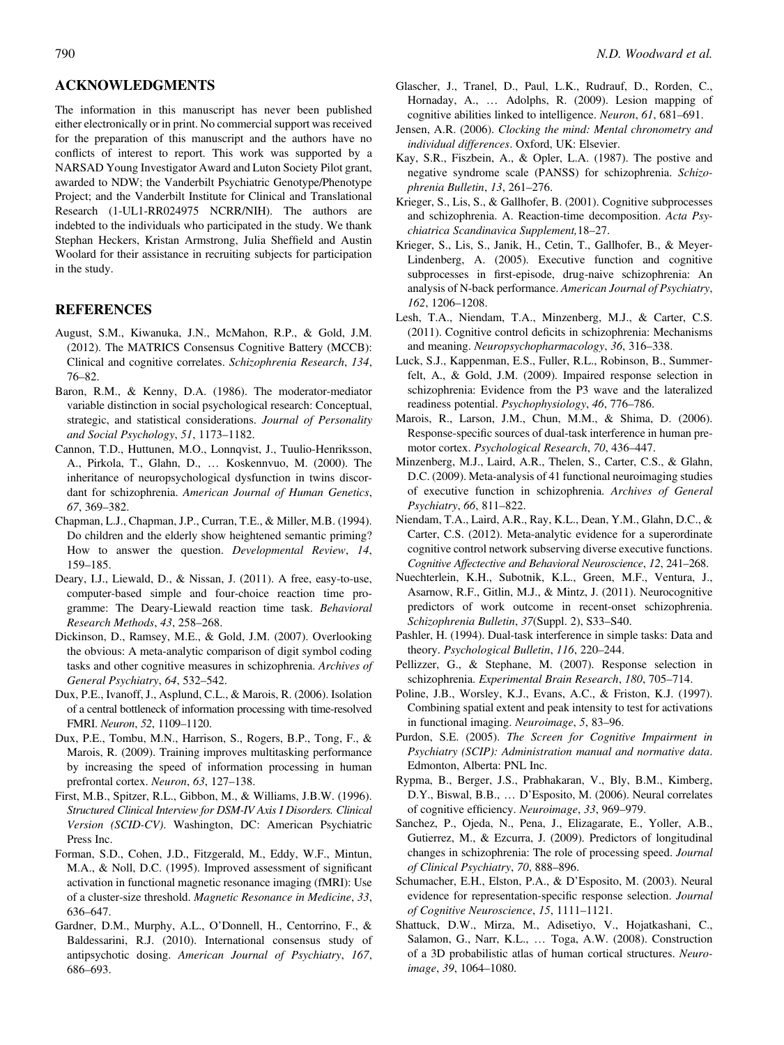## <span id="page-8-0"></span>ACKNOWLEDGMENTS

The information in this manuscript has never been published either electronically or in print. No commercial support was received for the preparation of this manuscript and the authors have no conflicts of interest to report. This work was supported by a NARSAD Young Investigator Award and Luton Society Pilot grant, awarded to NDW; the Vanderbilt Psychiatric Genotype/Phenotype Project; and the Vanderbilt Institute for Clinical and Translational Research (1-UL1-RR024975 NCRR/NIH). The authors are indebted to the individuals who participated in the study. We thank Stephan Heckers, Kristan Armstrong, Julia Sheffield and Austin Woolard for their assistance in recruiting subjects for participation in the study.

#### REFERENCES

- August, S.M., Kiwanuka, J.N., McMahon, R.P., & Gold, J.M. (2012). The MATRICS Consensus Cognitive Battery (MCCB): Clinical and cognitive correlates. Schizophrenia Research, 134, 76–82.
- Baron, R.M., & Kenny, D.A. (1986). The moderator-mediator variable distinction in social psychological research: Conceptual, strategic, and statistical considerations. Journal of Personality and Social Psychology, 51, 1173–1182.
- Cannon, T.D., Huttunen, M.O., Lonnqvist, J., Tuulio-Henriksson, A., Pirkola, T., Glahn, D., ... Koskennvuo, M. (2000). The inheritance of neuropsychological dysfunction in twins discordant for schizophrenia. American Journal of Human Genetics, 67, 369–382.
- Chapman, L.J., Chapman, J.P., Curran, T.E., & Miller, M.B. (1994). Do children and the elderly show heightened semantic priming? How to answer the question. Developmental Review, 14, 159–185.
- Deary, I.J., Liewald, D., & Nissan, J. (2011). A free, easy-to-use, computer-based simple and four-choice reaction time programme: The Deary-Liewald reaction time task. Behavioral Research Methods, 43, 258–268.
- Dickinson, D., Ramsey, M.E., & Gold, J.M. (2007). Overlooking the obvious: A meta-analytic comparison of digit symbol coding tasks and other cognitive measures in schizophrenia. Archives of General Psychiatry, 64, 532–542.
- Dux, P.E., Ivanoff, J., Asplund, C.L., & Marois, R. (2006). Isolation of a central bottleneck of information processing with time-resolved FMRI. Neuron, 52, 1109–1120.
- Dux, P.E., Tombu, M.N., Harrison, S., Rogers, B.P., Tong, F., & Marois, R. (2009). Training improves multitasking performance by increasing the speed of information processing in human prefrontal cortex. Neuron, 63, 127–138.
- First, M.B., Spitzer, R.L., Gibbon, M., & Williams, J.B.W. (1996). Structured Clinical Interview for DSM-IV Axis I Disorders. Clinical Version (SCID-CV). Washington, DC: American Psychiatric Press Inc.
- Forman, S.D., Cohen, J.D., Fitzgerald, M., Eddy, W.F., Mintun, M.A., & Noll, D.C. (1995). Improved assessment of significant activation in functional magnetic resonance imaging (fMRI): Use of a cluster-size threshold. Magnetic Resonance in Medicine, 33, 636–647.
- Gardner, D.M., Murphy, A.L., O'Donnell, H., Centorrino, F., & Baldessarini, R.J. (2010). International consensus study of antipsychotic dosing. American Journal of Psychiatry, 167, 686–693.
- Glascher, J., Tranel, D., Paul, L.K., Rudrauf, D., Rorden, C., Hornaday, A., ... Adolphs, R. (2009). Lesion mapping of cognitive abilities linked to intelligence. Neuron, 61, 681–691.
- Jensen, A.R. (2006). Clocking the mind: Mental chronometry and individual differences. Oxford, UK: Elsevier.
- Kay, S.R., Fiszbein, A., & Opler, L.A. (1987). The postive and negative syndrome scale (PANSS) for schizophrenia. Schizophrenia Bulletin, 13, 261–276.
- Krieger, S., Lis, S., & Gallhofer, B. (2001). Cognitive subprocesses and schizophrenia. A. Reaction-time decomposition. Acta Psychiatrica Scandinavica Supplement,18–27.
- Krieger, S., Lis, S., Janik, H., Cetin, T., Gallhofer, B., & Meyer-Lindenberg, A. (2005). Executive function and cognitive subprocesses in first-episode, drug-naive schizophrenia: An analysis of N-back performance. American Journal of Psychiatry, 162, 1206–1208.
- Lesh, T.A., Niendam, T.A., Minzenberg, M.J., & Carter, C.S. (2011). Cognitive control deficits in schizophrenia: Mechanisms and meaning. Neuropsychopharmacology, 36, 316–338.
- Luck, S.J., Kappenman, E.S., Fuller, R.L., Robinson, B., Summerfelt, A., & Gold, J.M. (2009). Impaired response selection in schizophrenia: Evidence from the P3 wave and the lateralized readiness potential. Psychophysiology, 46, 776-786.
- Marois, R., Larson, J.M., Chun, M.M., & Shima, D. (2006). Response-specific sources of dual-task interference in human premotor cortex. Psychological Research, 70, 436–447.
- Minzenberg, M.J., Laird, A.R., Thelen, S., Carter, C.S., & Glahn, D.C. (2009). Meta-analysis of 41 functional neuroimaging studies of executive function in schizophrenia. Archives of General Psychiatry, 66, 811–822.
- Niendam, T.A., Laird, A.R., Ray, K.L., Dean, Y.M., Glahn, D.C., & Carter, C.S. (2012). Meta-analytic evidence for a superordinate cognitive control network subserving diverse executive functions. Cognitive Affectective and Behavioral Neuroscience, 12, 241–268.
- Nuechterlein, K.H., Subotnik, K.L., Green, M.F., Ventura, J., Asarnow, R.F., Gitlin, M.J., & Mintz, J. (2011). Neurocognitive predictors of work outcome in recent-onset schizophrenia. Schizophrenia Bulletin, 37(Suppl. 2), S33–S40.
- Pashler, H. (1994). Dual-task interference in simple tasks: Data and theory. Psychological Bulletin, 116, 220–244.
- Pellizzer, G., & Stephane, M. (2007). Response selection in schizophrenia. Experimental Brain Research, 180, 705–714.
- Poline, J.B., Worsley, K.J., Evans, A.C., & Friston, K.J. (1997). Combining spatial extent and peak intensity to test for activations in functional imaging. Neuroimage, 5, 83–96.
- Purdon, S.E. (2005). The Screen for Cognitive Impairment in Psychiatry (SCIP): Administration manual and normative data. Edmonton, Alberta: PNL Inc.
- Rypma, B., Berger, J.S., Prabhakaran, V., Bly, B.M., Kimberg, D.Y., Biswal, B.B., ... D'Esposito, M. (2006). Neural correlates of cognitive efficiency. Neuroimage, 33, 969–979.
- Sanchez, P., Ojeda, N., Pena, J., Elizagarate, E., Yoller, A.B., Gutierrez, M., & Ezcurra, J. (2009). Predictors of longitudinal changes in schizophrenia: The role of processing speed. Journal of Clinical Psychiatry, 70, 888–896.
- Schumacher, E.H., Elston, P.A., & D'Esposito, M. (2003). Neural evidence for representation-specific response selection. Journal of Cognitive Neuroscience, 15, 1111–1121.
- Shattuck, D.W., Mirza, M., Adisetiyo, V., Hojatkashani, C., Salamon, G., Narr, K.L., ... Toga, A.W. (2008). Construction of a 3D probabilistic atlas of human cortical structures. Neuroimage, 39, 1064–1080.